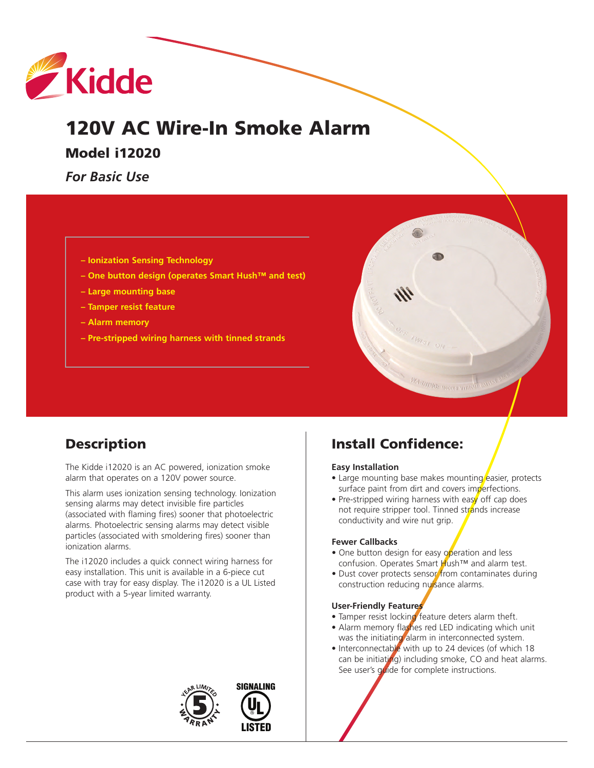

# **120V AC Wire-In Smoke Alarm**

**Model i12020**

*For Basic Use*

- **– Ionization Sensing Technology**
- **– One button design (operates Smart Hush™ and test)**
- **– Large mounting base**
- **– Tamper resist feature**
- **– Alarm memory**
- **– Pre-stripped wiring harness with tinned strands**



# **Description**

The Kidde i12020 is an AC powered, ionization smoke alarm that operates on a 120V power source.

This alarm uses ionization sensing technology. Ionization sensing alarms may detect invisible fire particles (associated with flaming fires) sooner that photoelectric alarms. Photoelectric sensing alarms may detect visible particles (associated with smoldering fires) sooner than ionization alarms.

The i12020 includes a quick connect wiring harness for easy installation. This unit is available in a 6-piece cut case with tray for easy display. The i12020 is a UL Listed product with a 5-year limited warranty.

# **Install Confidence:**

#### **Easy Installation**

- Large mounting base makes mounting easier, protects surface paint from dirt and covers imperfections.
- Pre-stripped wiring harness with easy off cap does not require stripper tool. Tinned strands increase conductivity and wire nut grip.

#### **Fewer Callbacks**

- One button design for easy operation and less confusion. Operates Smart Hush™ and alarm test.
- Dust cover protects sensor from contaminates during construction reducing nuisance alarms.

#### **User-Friendly Features**

- Tamper resist locking feature deters alarm theft.
- Alarm memory flashes red LED indicating which unit was the initiating alarm in interconnected system.
- Interconnectable with up to 24 devices (of which 18 can be initiating) including smoke, CO and heat alarms. See user's guide for complete instructions.